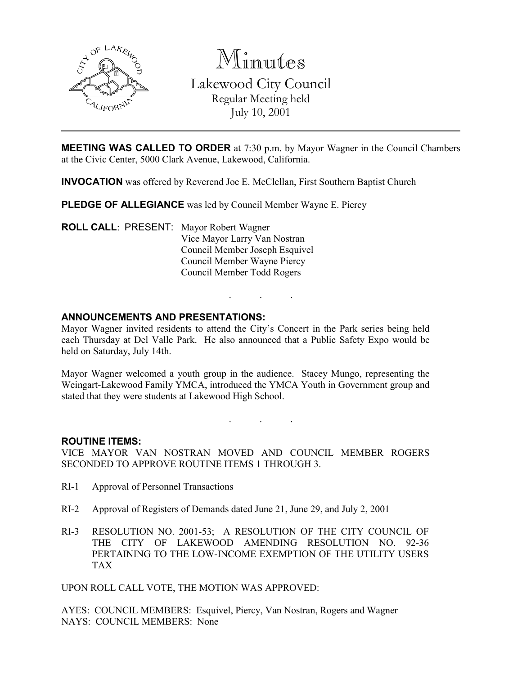

Minutes

Lakewood City Council Regular Meeting held July 10, 2001

MEETING WAS CALLED TO ORDER at 7:30 p.m. by Mayor Wagner in the Council Chambers at the Civic Center, 5000 Clark Avenue, Lakewood, California.

INVOCATION was offered by Reverend Joe E. McClellan, First Southern Baptist Church

PLEDGE OF ALLEGIANCE was led by Council Member Wayne E. Piercy

ROLL CALL: PRESENT: Mayor Robert Wagner Vice Mayor Larry Van Nostran Council Member Joseph Esquivel Council Member Wayne Piercy Council Member Todd Rogers

# ANNOUNCEMENTS AND PRESENTATIONS:

Mayor Wagner invited residents to attend the City's Concert in the Park series being held each Thursday at Del Valle Park. He also announced that a Public Safety Expo would be held on Saturday, July 14th.

. . .

Mayor Wagner welcomed a youth group in the audience. Stacey Mungo, representing the Weingart-Lakewood Family YMCA, introduced the YMCA Youth in Government group and stated that they were students at Lakewood High School.

. . .

#### ROUTINE ITEMS:

VICE MAYOR VAN NOSTRAN MOVED AND COUNCIL MEMBER ROGERS SECONDED TO APPROVE ROUTINE ITEMS 1 THROUGH 3.

- RI-1 Approval of Personnel Transactions
- RI-2 Approval of Registers of Demands dated June 21, June 29, and July 2, 2001
- RI-3 RESOLUTION NO. 2001-53; A RESOLUTION OF THE CITY COUNCIL OF THE CITY OF LAKEWOOD AMENDING RESOLUTION NO. 92-36 PERTAINING TO THE LOW-INCOME EXEMPTION OF THE UTILITY USERS TAX

UPON ROLL CALL VOTE, THE MOTION WAS APPROVED:

AYES: COUNCIL MEMBERS: Esquivel, Piercy, Van Nostran, Rogers and Wagner NAYS: COUNCIL MEMBERS: None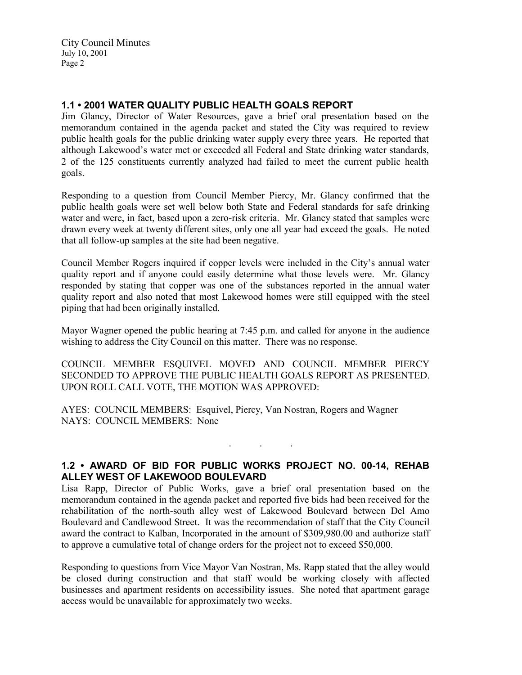# 1.1 • 2001 WATER QUALITY PUBLIC HEALTH GOALS REPORT

Jim Glancy, Director of Water Resources, gave a brief oral presentation based on the memorandum contained in the agenda packet and stated the City was required to review public health goals for the public drinking water supply every three years. He reported that although Lakewood's water met or exceeded all Federal and State drinking water standards, 2 of the 125 constituents currently analyzed had failed to meet the current public health goals.

Responding to a question from Council Member Piercy, Mr. Glancy confirmed that the public health goals were set well below both State and Federal standards for safe drinking water and were, in fact, based upon a zero-risk criteria. Mr. Glancy stated that samples were drawn every week at twenty different sites, only one all year had exceed the goals. He noted that all follow-up samples at the site had been negative.

Council Member Rogers inquired if copper levels were included in the City's annual water quality report and if anyone could easily determine what those levels were. Mr. Glancy responded by stating that copper was one of the substances reported in the annual water quality report and also noted that most Lakewood homes were still equipped with the steel piping that had been originally installed.

Mayor Wagner opened the public hearing at 7:45 p.m. and called for anyone in the audience wishing to address the City Council on this matter. There was no response.

COUNCIL MEMBER ESQUIVEL MOVED AND COUNCIL MEMBER PIERCY SECONDED TO APPROVE THE PUBLIC HEALTH GOALS REPORT AS PRESENTED. UPON ROLL CALL VOTE, THE MOTION WAS APPROVED:

AYES: COUNCIL MEMBERS: Esquivel, Piercy, Van Nostran, Rogers and Wagner NAYS: COUNCIL MEMBERS: None

## 1.2 • AWARD OF BID FOR PUBLIC WORKS PROJECT NO. 00-14, REHAB ALLEY WEST OF LAKEWOOD BOULEVARD

. . .

Lisa Rapp, Director of Public Works, gave a brief oral presentation based on the memorandum contained in the agenda packet and reported five bids had been received for the rehabilitation of the north-south alley west of Lakewood Boulevard between Del Amo Boulevard and Candlewood Street. It was the recommendation of staff that the City Council award the contract to Kalban, Incorporated in the amount of \$309,980.00 and authorize staff to approve a cumulative total of change orders for the project not to exceed \$50,000.

Responding to questions from Vice Mayor Van Nostran, Ms. Rapp stated that the alley would be closed during construction and that staff would be working closely with affected businesses and apartment residents on accessibility issues. She noted that apartment garage access would be unavailable for approximately two weeks.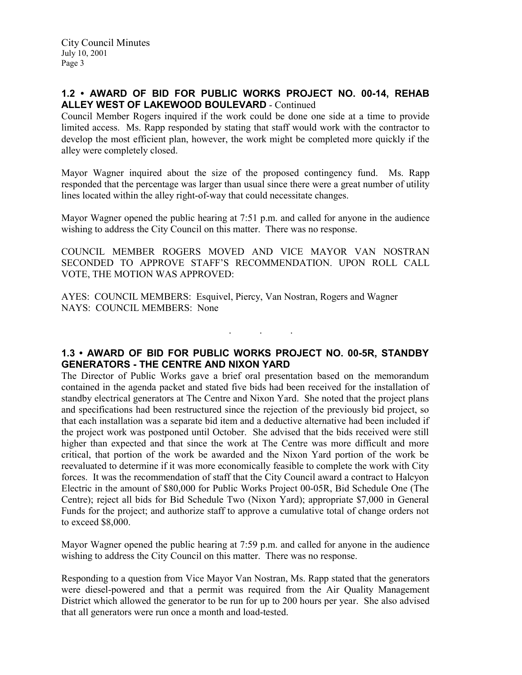# 1.2 • AWARD OF BID FOR PUBLIC WORKS PROJECT NO. 00-14, REHAB ALLEY WEST OF LAKEWOOD BOULEVARD - Continued

Council Member Rogers inquired if the work could be done one side at a time to provide limited access. Ms. Rapp responded by stating that staff would work with the contractor to develop the most efficient plan, however, the work might be completed more quickly if the alley were completely closed.

Mayor Wagner inquired about the size of the proposed contingency fund. Ms. Rapp responded that the percentage was larger than usual since there were a great number of utility lines located within the alley right-of-way that could necessitate changes.

Mayor Wagner opened the public hearing at 7:51 p.m. and called for anyone in the audience wishing to address the City Council on this matter. There was no response.

COUNCIL MEMBER ROGERS MOVED AND VICE MAYOR VAN NOSTRAN SECONDED TO APPROVE STAFF'S RECOMMENDATION. UPON ROLL CALL VOTE, THE MOTION WAS APPROVED:

AYES: COUNCIL MEMBERS: Esquivel, Piercy, Van Nostran, Rogers and Wagner NAYS: COUNCIL MEMBERS: None

### 1.3 • AWARD OF BID FOR PUBLIC WORKS PROJECT NO. 00-5R, STANDBY GENERATORS - THE CENTRE AND NIXON YARD

. . .

The Director of Public Works gave a brief oral presentation based on the memorandum contained in the agenda packet and stated five bids had been received for the installation of standby electrical generators at The Centre and Nixon Yard. She noted that the project plans and specifications had been restructured since the rejection of the previously bid project, so that each installation was a separate bid item and a deductive alternative had been included if the project work was postponed until October. She advised that the bids received were still higher than expected and that since the work at The Centre was more difficult and more critical, that portion of the work be awarded and the Nixon Yard portion of the work be reevaluated to determine if it was more economically feasible to complete the work with City forces. It was the recommendation of staff that the City Council award a contract to Halcyon Electric in the amount of \$80,000 for Public Works Project 00-05R, Bid Schedule One (The Centre); reject all bids for Bid Schedule Two (Nixon Yard); appropriate \$7,000 in General Funds for the project; and authorize staff to approve a cumulative total of change orders not to exceed \$8,000.

Mayor Wagner opened the public hearing at 7:59 p.m. and called for anyone in the audience wishing to address the City Council on this matter. There was no response.

Responding to a question from Vice Mayor Van Nostran, Ms. Rapp stated that the generators were diesel-powered and that a permit was required from the Air Quality Management District which allowed the generator to be run for up to 200 hours per year. She also advised that all generators were run once a month and load-tested.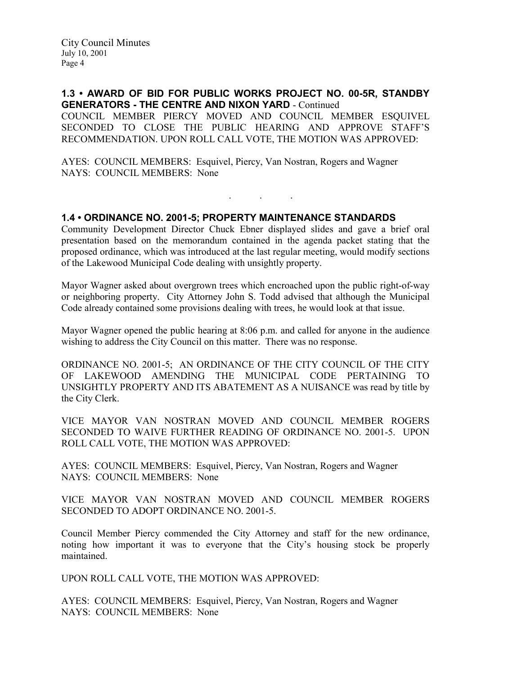1.3 • AWARD OF BID FOR PUBLIC WORKS PROJECT NO. 00-5R, STANDBY GENERATORS - THE CENTRE AND NIXON YARD - Continued COUNCIL MEMBER PIERCY MOVED AND COUNCIL MEMBER ESQUIVEL SECONDED TO CLOSE THE PUBLIC HEARING AND APPROVE STAFF'S RECOMMENDATION. UPON ROLL CALL VOTE, THE MOTION WAS APPROVED:

AYES: COUNCIL MEMBERS: Esquivel, Piercy, Van Nostran, Rogers and Wagner NAYS: COUNCIL MEMBERS: None

### 1.4 • ORDINANCE NO. 2001-5; PROPERTY MAINTENANCE STANDARDS

Community Development Director Chuck Ebner displayed slides and gave a brief oral presentation based on the memorandum contained in the agenda packet stating that the proposed ordinance, which was introduced at the last regular meeting, would modify sections of the Lakewood Municipal Code dealing with unsightly property.

. . .

Mayor Wagner asked about overgrown trees which encroached upon the public right-of-way or neighboring property. City Attorney John S. Todd advised that although the Municipal Code already contained some provisions dealing with trees, he would look at that issue.

Mayor Wagner opened the public hearing at 8:06 p.m. and called for anyone in the audience wishing to address the City Council on this matter. There was no response.

ORDINANCE NO. 2001-5; AN ORDINANCE OF THE CITY COUNCIL OF THE CITY OF LAKEWOOD AMENDING THE MUNICIPAL CODE PERTAINING TO UNSIGHTLY PROPERTY AND ITS ABATEMENT AS A NUISANCE was read by title by the City Clerk.

VICE MAYOR VAN NOSTRAN MOVED AND COUNCIL MEMBER ROGERS SECONDED TO WAIVE FURTHER READING OF ORDINANCE NO. 2001-5. UPON ROLL CALL VOTE, THE MOTION WAS APPROVED:

AYES: COUNCIL MEMBERS: Esquivel, Piercy, Van Nostran, Rogers and Wagner NAYS: COUNCIL MEMBERS: None

VICE MAYOR VAN NOSTRAN MOVED AND COUNCIL MEMBER ROGERS SECONDED TO ADOPT ORDINANCE NO. 2001-5.

Council Member Piercy commended the City Attorney and staff for the new ordinance, noting how important it was to everyone that the City's housing stock be properly maintained.

UPON ROLL CALL VOTE, THE MOTION WAS APPROVED:

AYES: COUNCIL MEMBERS: Esquivel, Piercy, Van Nostran, Rogers and Wagner NAYS: COUNCIL MEMBERS: None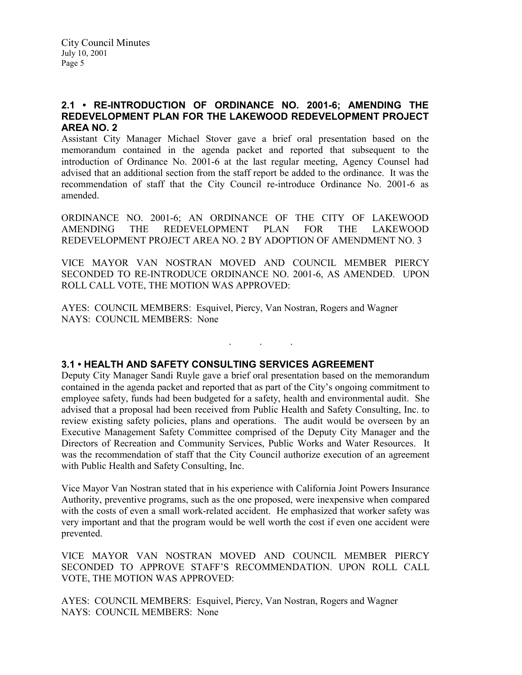### 2.1 • RE-INTRODUCTION OF ORDINANCE NO. 2001-6; AMENDING THE REDEVELOPMENT PLAN FOR THE LAKEWOOD REDEVELOPMENT PROJECT AREA NO. 2

Assistant City Manager Michael Stover gave a brief oral presentation based on the memorandum contained in the agenda packet and reported that subsequent to the introduction of Ordinance No. 2001-6 at the last regular meeting, Agency Counsel had advised that an additional section from the staff report be added to the ordinance. It was the recommendation of staff that the City Council re-introduce Ordinance No. 2001-6 as amended.

ORDINANCE NO. 2001-6; AN ORDINANCE OF THE CITY OF LAKEWOOD AMENDING THE REDEVELOPMENT PLAN FOR THE LAKEWOOD REDEVELOPMENT PROJECT AREA NO. 2 BY ADOPTION OF AMENDMENT NO. 3

VICE MAYOR VAN NOSTRAN MOVED AND COUNCIL MEMBER PIERCY SECONDED TO RE-INTRODUCE ORDINANCE NO. 2001-6, AS AMENDED. UPON ROLL CALL VOTE, THE MOTION WAS APPROVED:

. . .

AYES: COUNCIL MEMBERS: Esquivel, Piercy, Van Nostran, Rogers and Wagner NAYS: COUNCIL MEMBERS: None

## 3.1 • HEALTH AND SAFETY CONSULTING SERVICES AGREEMENT

Deputy City Manager Sandi Ruyle gave a brief oral presentation based on the memorandum contained in the agenda packet and reported that as part of the City's ongoing commitment to employee safety, funds had been budgeted for a safety, health and environmental audit. She advised that a proposal had been received from Public Health and Safety Consulting, Inc. to review existing safety policies, plans and operations. The audit would be overseen by an Executive Management Safety Committee comprised of the Deputy City Manager and the Directors of Recreation and Community Services, Public Works and Water Resources. It was the recommendation of staff that the City Council authorize execution of an agreement with Public Health and Safety Consulting, Inc.

Vice Mayor Van Nostran stated that in his experience with California Joint Powers Insurance Authority, preventive programs, such as the one proposed, were inexpensive when compared with the costs of even a small work-related accident. He emphasized that worker safety was very important and that the program would be well worth the cost if even one accident were prevented.

VICE MAYOR VAN NOSTRAN MOVED AND COUNCIL MEMBER PIERCY SECONDED TO APPROVE STAFF'S RECOMMENDATION. UPON ROLL CALL VOTE, THE MOTION WAS APPROVED:

AYES: COUNCIL MEMBERS: Esquivel, Piercy, Van Nostran, Rogers and Wagner NAYS: COUNCIL MEMBERS: None